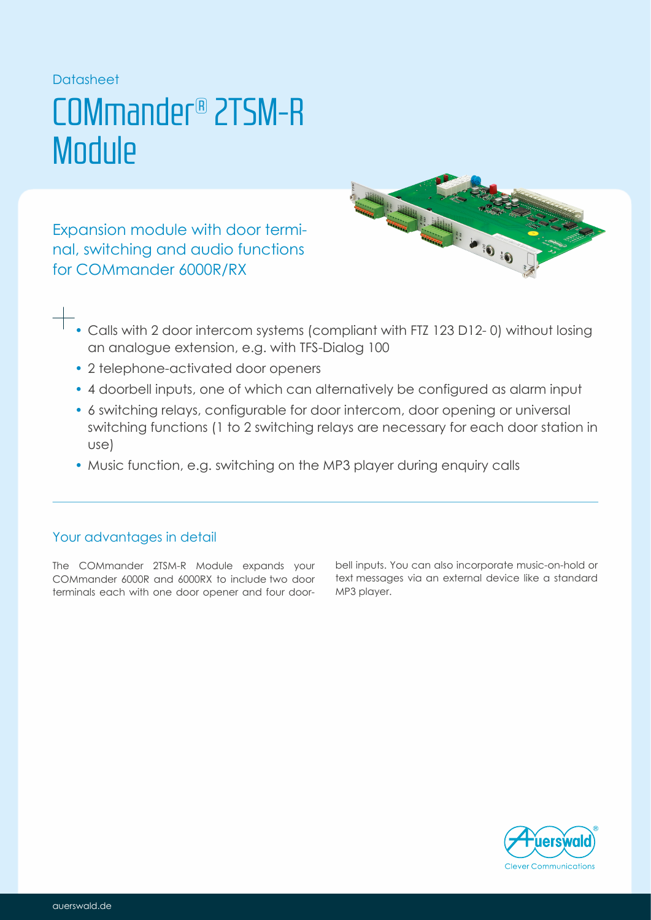## Datasheet

## COMmander® 2TSM-R **Module**

Expansion module with door terminal, switching and audio functions for 6000R/RX COMmander



- Calls with 2 door intercom systems (compliant with FTZ 123 D12- 0) without losing an analogue extension, e.g. with TFS-Dialog 100
- 2 telephone-activated door openers
- 4 doorbell inputs, one of which can alternatively be configured as alarm input
- 6 switching relays, configurable for door intercom, door opening or universal switching functions (1 to 2 switching relays are necessary for each door station in use)
- Music function, e.g. switching on the MP3 player during enquiry calls

## Your advantages in detail

The COMmander 2TSM-R Module expands your COMmander 6000R and 6000RX to include two door terminals each with one door opener and four doorbell inputs. You can also incorporate music-on-hold or text messages via an external device like a standard MP3 player.